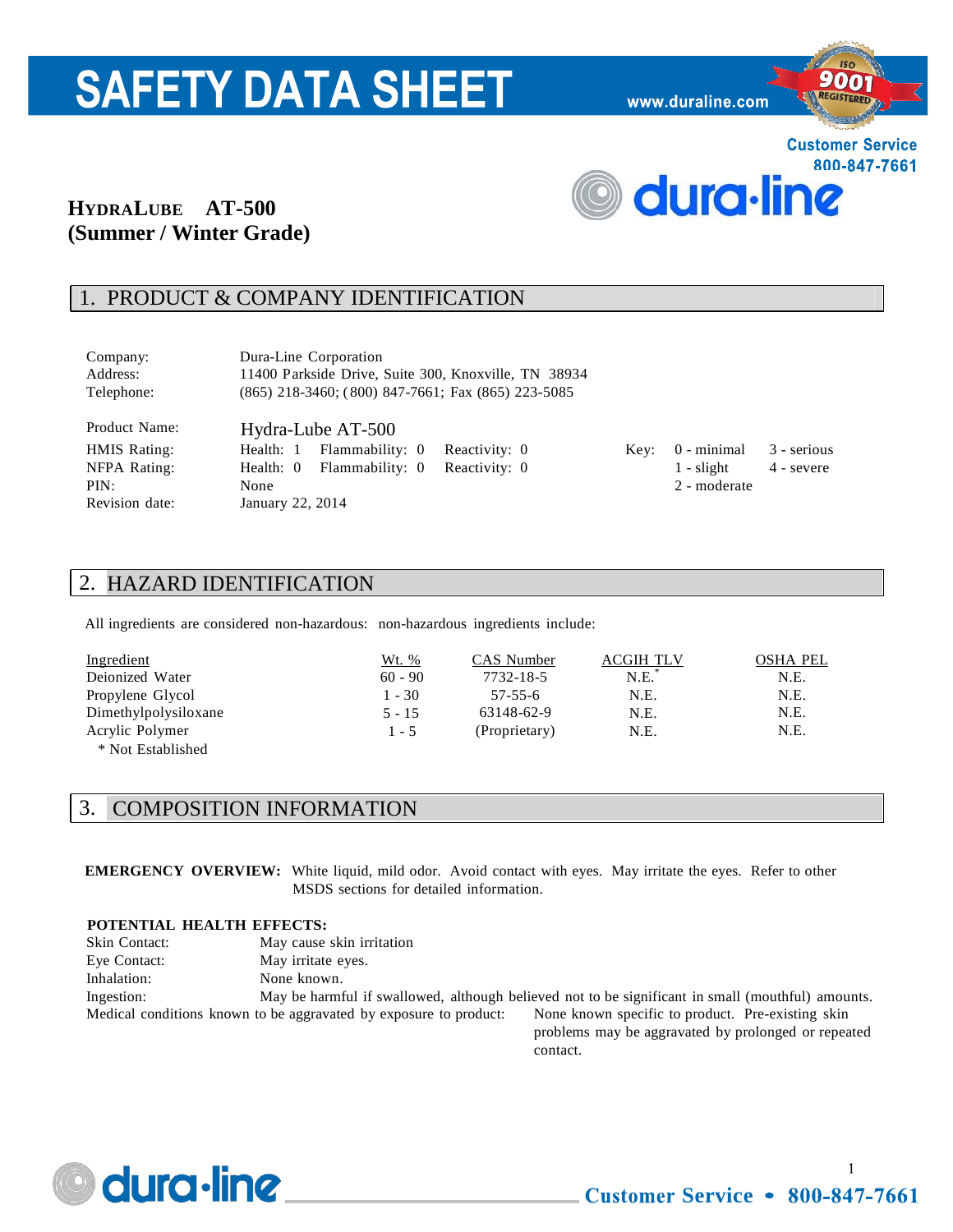# **SAFETY DATA SHEET**

www.duraline.com



# **HYDRALUBE AT-500 (Summer / Winter Grade)**

# 1. PRODUCT & COMPANY IDENTIFICATION

| Company:      | Dura-Line Corporation                                    |
|---------------|----------------------------------------------------------|
| Address:      | 11400 Parkside Drive, Suite 300, Knoxville, TN 38934     |
| Telephone:    | $(865)$ 218-3460; $(800)$ 847-7661; Fax $(865)$ 223-5085 |
| Product Name: | Hydra-Lube AT-500                                        |

HMIS Rating: Health: 1 Flammability: 0 Reactivity: 0 Key: 0 - minimal 3 - serious NFPA Rating: Health: 0 Flammability: 0 Reactivity: 0 1 - slight 4 - severe PIN: None 2 - moderate

# 2. HAZARD IDENTIFICATION

Revision date: January 22, 2014

All ingredients are considered non-hazardous: non-hazardous ingredients include:

| Ingredient           | <u>Wt. %</u> | CAS Number    | <b>ACGIH TLV</b> | <b>OSHA PEL</b> |
|----------------------|--------------|---------------|------------------|-----------------|
| Deionized Water      | $60 - 90$    | 7732-18-5     | $N.E.*$          | N.E.            |
| Propylene Glycol     | $1 - 30$     | $57 - 55 - 6$ | N.E.             | N.E.            |
| Dimethylpolysiloxane | $5 - 15$     | 63148-62-9    | N.E.             | N.E.            |
| Acrylic Polymer      | $1 - 5$      | (Proprietary) | N.E.             | N.E.            |
| * Not Established    |              |               |                  |                 |

#### 3. COMPOSITION INFORMATION

**EMERGENCY OVERVIEW:** White liquid, mild odor. Avoid contact with eyes. May irritate the eyes. Refer to other MSDS sections for detailed information.

#### **POTENTIAL HEALTH EFFECTS:**

| <b>Skin Contact:</b> | May cause skin irritation                                         |                                                                                                   |
|----------------------|-------------------------------------------------------------------|---------------------------------------------------------------------------------------------------|
| Eye Contact:         | May irritate eyes.                                                |                                                                                                   |
| Inhalation:          | None known.                                                       |                                                                                                   |
| Ingestion:           |                                                                   | May be harmful if swallowed, although believed not to be significant in small (mouthful) amounts. |
|                      | Medical conditions known to be aggravated by exposure to product: | None known specific to product. Pre-existing skin                                                 |
|                      |                                                                   | problems may be aggregated by prolonged or repeated                                               |

problems may be aggravated by prolonged or repeated contact.



 $\mathbf{1}$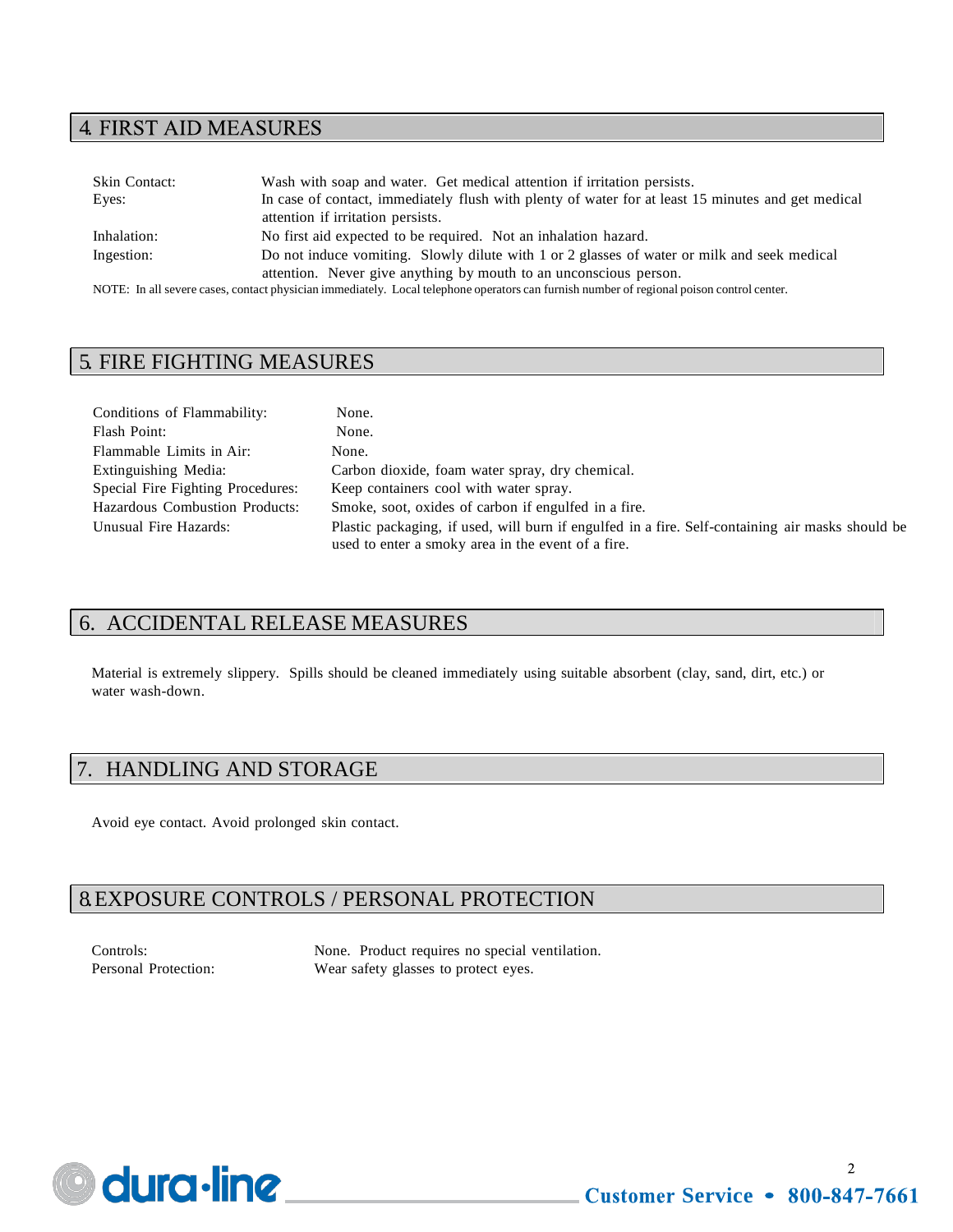# **4. FIRST AID MEASURES**

| Skin Contact:                                                     | Wash with soap and water. Get medical attention if irritation persists.                                                                  |  |
|-------------------------------------------------------------------|------------------------------------------------------------------------------------------------------------------------------------------|--|
| Eyes:                                                             | In case of contact, immediately flush with plenty of water for at least 15 minutes and get medical                                       |  |
|                                                                   | attention if irritation persists.                                                                                                        |  |
| Inhalation:                                                       | No first aid expected to be required. Not an inhalation hazard.                                                                          |  |
| Ingestion:                                                        | Do not induce vomiting. Slowly dilute with 1 or 2 glasses of water or milk and seek medical                                              |  |
| attention. Never give anything by mouth to an unconscious person. |                                                                                                                                          |  |
|                                                                   | NOTE: In all cavare cases, contact physician immediately. Local telephone operators can furnish number of regional poison control center |  |

NOTE: In all severe cases, contact physician immediately. Local telephone operators can furnish number of regional poison control center.

# 5. FIRE FIGHTING MEASURES

| Conditions of Flammability:       | None.                                                                                                                                                  |
|-----------------------------------|--------------------------------------------------------------------------------------------------------------------------------------------------------|
| Flash Point:                      | None.                                                                                                                                                  |
| Flammable Limits in Air:          | None.                                                                                                                                                  |
| Extinguishing Media:              | Carbon dioxide, foam water spray, dry chemical.                                                                                                        |
| Special Fire Fighting Procedures: | Keep containers cool with water spray.                                                                                                                 |
| Hazardous Combustion Products:    | Smoke, soot, oxides of carbon if engulfed in a fire.                                                                                                   |
| Unusual Fire Hazards:             | Plastic packaging, if used, will burn if engulfed in a fire. Self-containing air masks should be<br>used to enter a smoky area in the event of a fire. |

# 6. ACCIDENTAL RELEASE MEASURES

Material is extremely slippery. Spills should be cleaned immediately using suitable absorbent (clay, sand, dirt, etc.) or water wash-down.

# 7. HANDLING AND STORAGE

Avoid eye contact. Avoid prolonged skin contact.

# 8. EXPOSURE CONTROLS / PERSONAL PROTECTION

Controls: None. Product requires no special ventilation. Personal Protection: Wear safety glasses to protect eyes.

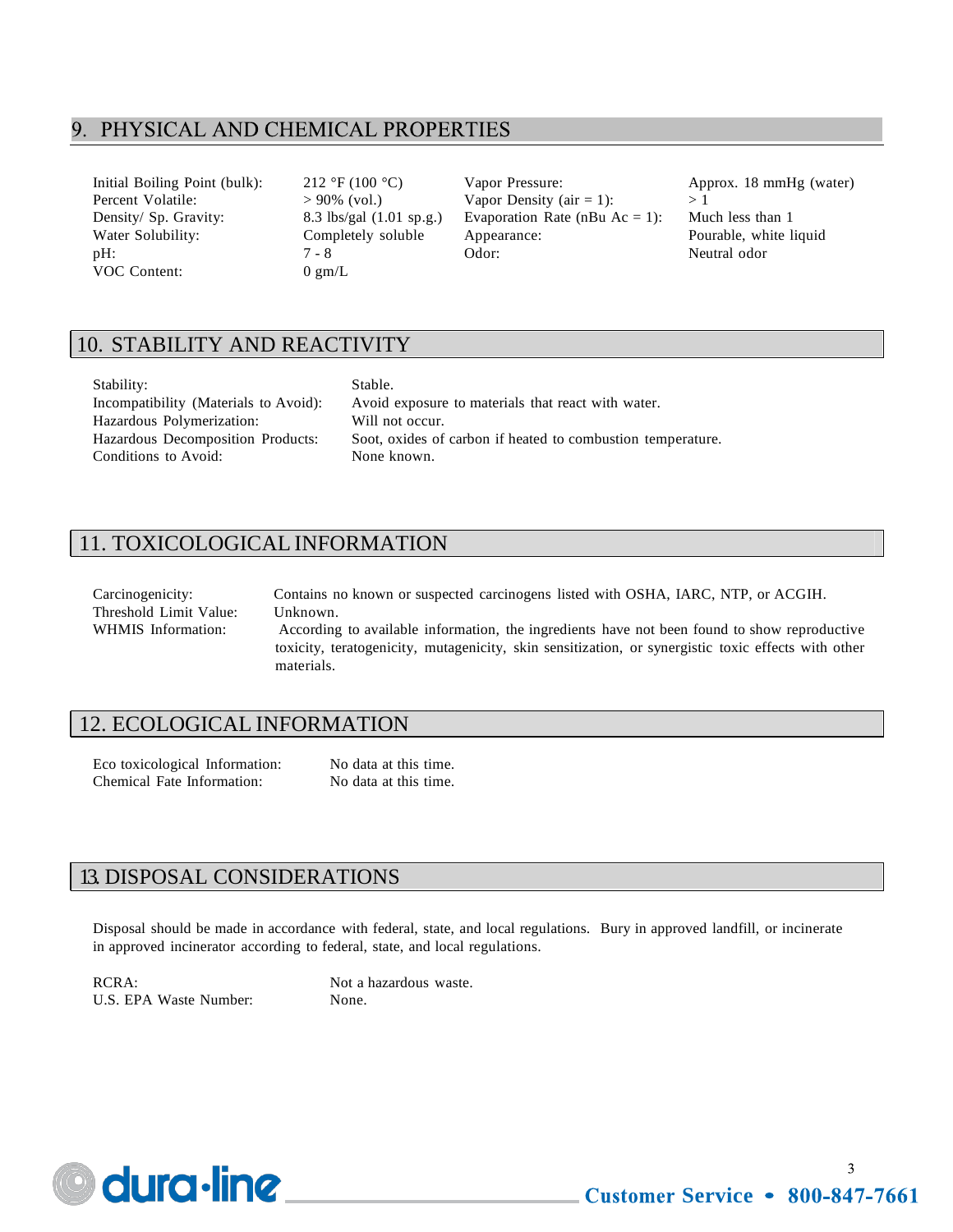#### 9. PHYSICAL AND CHEMICAL PROPERTIES

VOC Content: 0 gm/L

Initial Boiling Point (bulk): 212 °F (100 °C) Vapor Pressure: Approx. 18 mmHg (water) Percent Volatile:  $> 90\%$  (vol.) Vapor Density (air = 1):  $> 1$ Density/ Sp. Gravity: 8.3 lbs/gal (1.01 sp.g.) Evaporation Rate (nBu Ac = 1): Much less than 1 Water Solubility: Completely soluble Appearance: Pourable, white liquid pH:  $7 - 8$  Odor: Neutral odor

# 10. STABILITY AND REACTIVITY

| Stability:                            |  |
|---------------------------------------|--|
| Incompatibility (Materials to Avoid): |  |
| Hazardous Polymerization:             |  |
| Hazardous Decomposition Products:     |  |
| Conditions to Avoid:                  |  |

Stable. Avoid exposure to materials that react with water. Will not occur. Soot, oxides of carbon if heated to combustion temperature. None known.

# 11. TOXICOLOGICAL INFORMATION

Carcinogenicity: Contains no known or suspected carcinogens listed with OSHA, IARC, NTP, or ACGIH. Threshold Limit Value: Unknown. WHMIS Information: According to available information, the ingredients have not been found to show reproductive toxicity, teratogenicity, mutagenicity, skin sensitization, or synergistic toxic effects with other materials.

#### 12. ECOLOGICAL INFORMATION

Eco toxicological Information: No data at this time. Chemical Fate Information: No data at this time.

#### 13. DISPOSAL CONSIDERATIONS

Disposal should be made in accordance with federal, state, and local regulations. Bury in approved landfill, or incinerate in approved incinerator according to federal, state, and local regulations.

RCRA: Not a hazardous waste. U.S. EPA Waste Number: None.



 $\mathbf{3}$ **Customer Service • 800-847-7661**